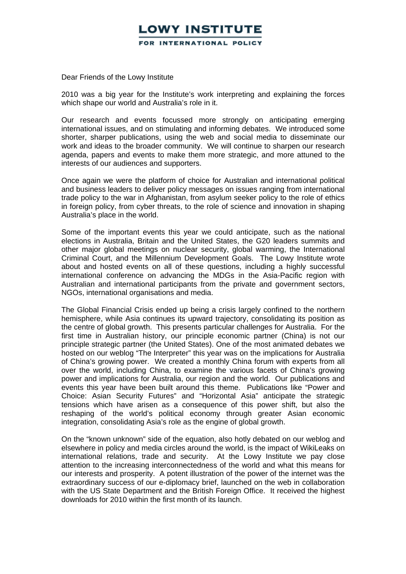## OWY INSTITUTE. FOR INTERNATIONAL POLICY

Dear Friends of the Lowy Institute

2010 was a big year for the Institute's work interpreting and explaining the forces which shape our world and Australia's role in it.

Our research and events focussed more strongly on anticipating emerging international issues, and on stimulating and informing debates. We introduced some shorter, sharper publications, using the web and social media to disseminate our work and ideas to the broader community. We will continue to sharpen our research agenda, papers and events to make them more strategic, and more attuned to the interests of our audiences and supporters.

Once again we were the platform of choice for Australian and international political and business leaders to deliver policy messages on issues ranging from international trade policy to the war in Afghanistan, from asylum seeker policy to the role of ethics in foreign policy, from cyber threats, to the role of science and innovation in shaping Australia's place in the world.

Some of the important events this year we could anticipate, such as the national elections in Australia, Britain and the United States, the G20 leaders summits and other major global meetings on nuclear security, global warming, the International Criminal Court, and the Millennium Development Goals. The Lowy Institute wrote about and hosted events on all of these questions, including a highly successful international conference on advancing the MDGs in the Asia-Pacific region with Australian and international participants from the private and government sectors, NGOs, international organisations and media.

The Global Financial Crisis ended up being a crisis largely confined to the northern hemisphere, while Asia continues its upward trajectory, consolidating its position as the centre of global growth. This presents particular challenges for Australia. For the first time in Australian history, our principle economic partner (China) is not our principle strategic partner (the United States). One of the most animated debates we hosted on our weblog "The Interpreter" this year was on the implications for Australia of China's growing power. We created a monthly China forum with experts from all over the world, including China, to examine the various facets of China's growing power and implications for Australia, our region and the world. Our publications and events this year have been built around this theme. Publications like "Power and Choice: Asian Security Futures" and "Horizontal Asia" anticipate the strategic tensions which have arisen as a consequence of this power shift, but also the reshaping of the world's political economy through greater Asian economic integration, consolidating Asia's role as the engine of global growth.

On the "known unknown" side of the equation, also hotly debated on our weblog and elsewhere in policy and media circles around the world, is the impact of WikiLeaks on international relations, trade and security. At the Lowy Institute we pay close attention to the increasing interconnectedness of the world and what this means for our interests and prosperity. A potent illustration of the power of the internet was the extraordinary success of our e-diplomacy brief, launched on the web in collaboration with the US State Department and the British Foreign Office. It received the highest downloads for 2010 within the first month of its launch.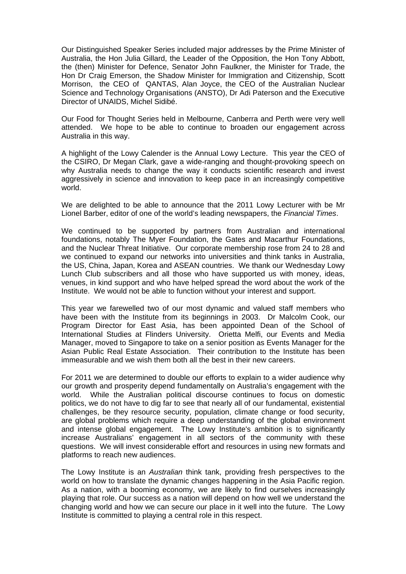Our Distinguished Speaker Series included major addresses by the Prime Minister of Australia, the Hon Julia Gillard, the Leader of the Opposition, the Hon Tony Abbott, the (then) Minister for Defence, Senator John Faulkner, the Minister for Trade, the Hon Dr Craig Emerson, the Shadow Minister for Immigration and Citizenship, Scott Morrison, the CEO of QANTAS, Alan Joyce, the CEO of the Australian Nuclear Science and Technology Organisations (ANSTO), Dr Adi Paterson and the Executive Director of UNAIDS, Michel Sidibé.

Our Food for Thought Series held in Melbourne, Canberra and Perth were very well attended. We hope to be able to continue to broaden our engagement across Australia in this way.

A highlight of the Lowy Calender is the Annual Lowy Lecture. This year the CEO of the CSIRO, Dr Megan Clark, gave a wide-ranging and thought-provoking speech on why Australia needs to change the way it conducts scientific research and invest aggressively in science and innovation to keep pace in an increasingly competitive world.

We are delighted to be able to announce that the 2011 Lowy Lecturer with be Mr Lionel Barber, editor of one of the world's leading newspapers, the *Financial Times*.

We continued to be supported by partners from Australian and international foundations, notably The Myer Foundation, the Gates and Macarthur Foundations, and the Nuclear Threat Initiative. Our corporate membership rose from 24 to 28 and we continued to expand our networks into universities and think tanks in Australia, the US, China, Japan, Korea and ASEAN countries. We thank our Wednesday Lowy Lunch Club subscribers and all those who have supported us with money, ideas, venues, in kind support and who have helped spread the word about the work of the Institute. We would not be able to function without your interest and support.

This year we farewelled two of our most dynamic and valued staff members who have been with the Institute from its beginnings in 2003. Dr Malcolm Cook, our Program Director for East Asia, has been appointed Dean of the School of International Studies at Flinders University. Orietta Melfi, our Events and Media Manager, moved to Singapore to take on a senior position as Events Manager for the Asian Public Real Estate Association. Their contribution to the Institute has been immeasurable and we wish them both all the best in their new careers.

For 2011 we are determined to double our efforts to explain to a wider audience why our growth and prosperity depend fundamentally on Australia's engagement with the world. While the Australian political discourse continues to focus on domestic politics, we do not have to dig far to see that nearly all of our fundamental, existential challenges, be they resource security, population, climate change or food security, are global problems which require a deep understanding of the global environment and intense global engagement. The Lowy Institute's ambition is to significantly increase Australians' engagement in all sectors of the community with these questions. We will invest considerable effort and resources in using new formats and platforms to reach new audiences.

The Lowy Institute is an *Australian* think tank, providing fresh perspectives to the world on how to translate the dynamic changes happening in the Asia Pacific region. As a nation, with a booming economy, we are likely to find ourselves increasingly playing that role. Our success as a nation will depend on how well we understand the changing world and how we can secure our place in it well into the future. The Lowy Institute is committed to playing a central role in this respect.